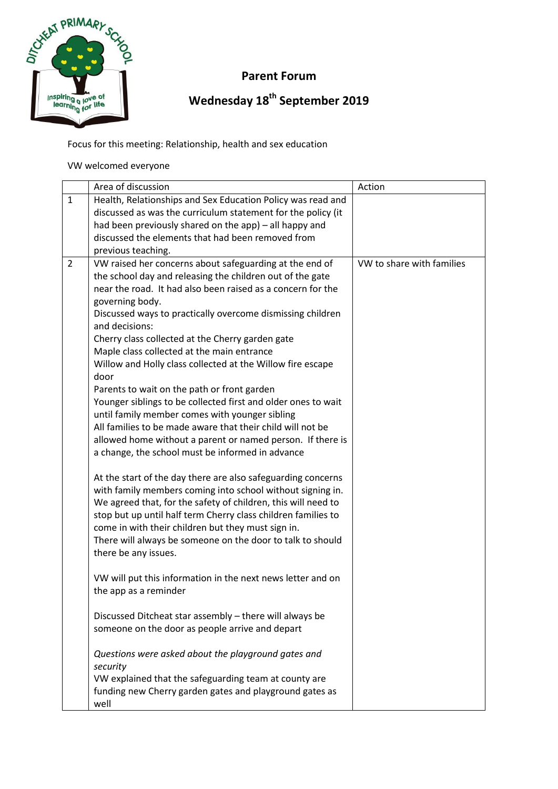

## **Parent Forum**

## **Wednesday 18th September 2019**

Focus for this meeting: Relationship, health and sex education

VW welcomed everyone

|                | Area of discussion                                                                   | Action                    |
|----------------|--------------------------------------------------------------------------------------|---------------------------|
| $\mathbf{1}$   | Health, Relationships and Sex Education Policy was read and                          |                           |
|                | discussed as was the curriculum statement for the policy (it                         |                           |
|                | had been previously shared on the app) - all happy and                               |                           |
|                | discussed the elements that had been removed from                                    |                           |
|                | previous teaching.                                                                   |                           |
| $\overline{2}$ | VW raised her concerns about safeguarding at the end of                              | VW to share with families |
|                | the school day and releasing the children out of the gate                            |                           |
|                | near the road. It had also been raised as a concern for the                          |                           |
|                | governing body.                                                                      |                           |
|                | Discussed ways to practically overcome dismissing children                           |                           |
|                | and decisions:                                                                       |                           |
|                | Cherry class collected at the Cherry garden gate                                     |                           |
|                | Maple class collected at the main entrance                                           |                           |
|                | Willow and Holly class collected at the Willow fire escape                           |                           |
|                | door                                                                                 |                           |
|                | Parents to wait on the path or front garden                                          |                           |
|                | Younger siblings to be collected first and older ones to wait                        |                           |
|                | until family member comes with younger sibling                                       |                           |
|                | All families to be made aware that their child will not be                           |                           |
|                | allowed home without a parent or named person. If there is                           |                           |
|                | a change, the school must be informed in advance                                     |                           |
|                | At the start of the day there are also safeguarding concerns                         |                           |
|                | with family members coming into school without signing in.                           |                           |
|                | We agreed that, for the safety of children, this will need to                        |                           |
|                | stop but up until half term Cherry class children families to                        |                           |
|                | come in with their children but they must sign in.                                   |                           |
|                | There will always be someone on the door to talk to should                           |                           |
|                | there be any issues.                                                                 |                           |
|                |                                                                                      |                           |
|                | VW will put this information in the next news letter and on<br>the app as a reminder |                           |
|                |                                                                                      |                           |
|                | Discussed Ditcheat star assembly - there will always be                              |                           |
|                | someone on the door as people arrive and depart                                      |                           |
|                | Questions were asked about the playground gates and                                  |                           |
|                | security                                                                             |                           |
|                | VW explained that the safeguarding team at county are                                |                           |
|                | funding new Cherry garden gates and playground gates as                              |                           |
|                | well                                                                                 |                           |